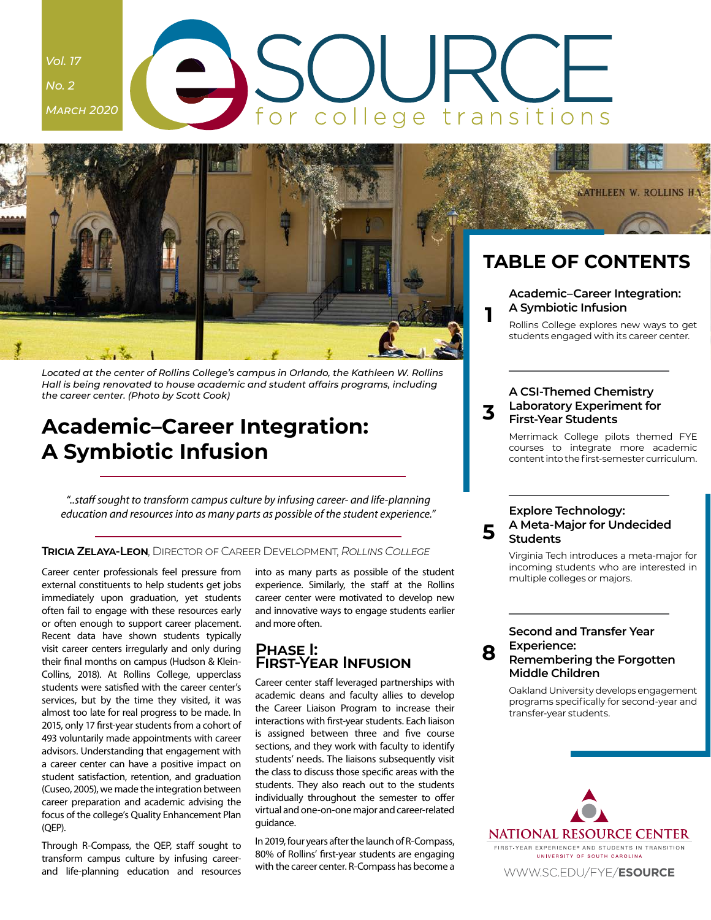## <span id="page-0-0"></span>*Vol. 17 No. 2 March 2020* college transitions



*Located at the center of Rollins College's campus in Orlando, the Kathleen W. Rollins Hall is being renovated to house academic and student affairs programs, including the career center. (Photo by Scott Cook)*

## **Academic–Career Integration: A Symbiotic Infusion**

*"..staff sought to transform campus culture by infusing career- and life-planning education and resources into as many parts as possible of the student experience."*

#### **Tricia Zelaya-Leon**, Director of Career Development, *Rollins College*

Career center professionals feel pressure from external constituents to help students get jobs immediately upon graduation, yet students often fail to engage with these resources early or often enough to support career placement. Recent data have shown students typically visit career centers irregularly and only during their final months on campus (Hudson & Klein-Collins, 2018). At Rollins College, upperclass students were satisfied with the career center's services, but by the time they visited, it was almost too late for real progress to be made. In 2015, only 17 first-year students from a cohort of 493 voluntarily made appointments with career advisors. Understanding that engagement with a career center can have a positive impact on student satisfaction, retention, and graduation (Cuseo, 2005), we made the integration between career preparation and academic advising the focus of the college's Quality Enhancement Plan (QEP).

Through R-Compass, the QEP, staff sought to transform campus culture by infusing careerand life-planning education and resources into as many parts as possible of the student experience. Similarly, the staff at the Rollins career center were motivated to develop new and innovative ways to engage students earlier and more often.

### **Phase I: First-Year Infusion**

Career center staff leveraged partnerships with academic deans and faculty allies to develop the Career Liaison Program to increase their interactions with first-year students. Each liaison is assigned between three and five course sections, and they work with faculty to identify students' needs. The liaisons subsequently visit the class to discuss those specific areas with the students. They also reach out to the students individually throughout the semester to offer virtual and one-on-one major and career-related guidance.

In 2019, four years after the launch of R-Compass, 80% of Rollins' first-year students are engaging with the career center. R-Compass has become a

## **TABLE OF CONTENTS**

**ATHLEEN W. ROLLINS HA** 

#### **Academic–Career Integration: A Symbiotic Infusion**

Rollins College explores new ways to get students engaged with its career center.

#### **3 A CSI-Themed Chemistry [Laboratory Experiment for](#page-2-0)  First-Year Students**

Merrimack College pilots themed FYE courses to integrate more academic content into the first-semester curriculum.

#### **5 Explore Technology: [A Meta-Major for Undecided](#page-4-0)  Students**

Virginia Tech introduces a meta-major for incoming students who are interested in multiple colleges or majors.

#### **Second and Transfer Year Experience: [Remembering the Forgotten](#page-7-0)  Middle Children**

**8**

Oakland University develops engagement programs specifically for second-year and transfer-year students.

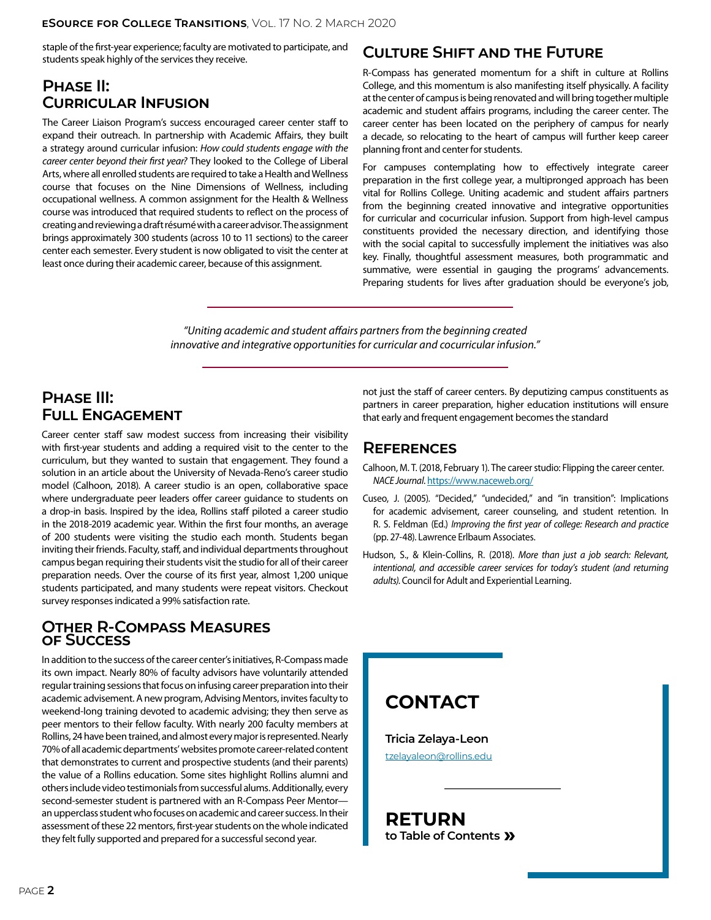#### **eSource for College Transitions**, Vol. 17 No. 2 March 2020

staple of the first-year experience; faculty are motivated to participate, and students speak highly of the services they receive.

## **Phase II: Curricular Infusion**

The Career Liaison Program's success encouraged career center staff to expand their outreach. In partnership with Academic Affairs, they built a strategy around curricular infusion: *How could students engage with the career center beyond their first year?* They looked to the College of Liberal Arts, where all enrolled students are required to take a Health and Wellness course that focuses on the Nine Dimensions of Wellness, including occupational wellness. A common assignment for the Health & Wellness course was introduced that required students to reflect on the process of creating and reviewing a draft résumé with a career advisor. The assignment brings approximately 300 students (across 10 to 11 sections) to the career center each semester. Every student is now obligated to visit the center at least once during their academic career, because of this assignment.

## **Culture Shift and the Future**

R-Compass has generated momentum for a shift in culture at Rollins College, and this momentum is also manifesting itself physically. A facility at the center of campus is being renovated and will bring together multiple academic and student affairs programs, including the career center. The career center has been located on the periphery of campus for nearly a decade, so relocating to the heart of campus will further keep career planning front and center for students.

For campuses contemplating how to effectively integrate career preparation in the first college year, a multipronged approach has been vital for Rollins College. Uniting academic and student affairs partners from the beginning created innovative and integrative opportunities for curricular and cocurricular infusion. Support from high-level campus constituents provided the necessary direction, and identifying those with the social capital to successfully implement the initiatives was also key. Finally, thoughtful assessment measures, both programmatic and summative, were essential in gauging the programs' advancements. Preparing students for lives after graduation should be everyone's job,

*"Uniting academic and student affairs partners from the beginning created innovative and integrative opportunities for curricular and cocurricular infusion."*

## **Phase III: Full Engagement**

Career center staff saw modest success from increasing their visibility with first-year students and adding a required visit to the center to the curriculum, but they wanted to sustain that engagement. They found a solution in an article about the University of Nevada-Reno's career studio model (Calhoon, 2018). A career studio is an open, collaborative space where undergraduate peer leaders offer career guidance to students on a drop-in basis. Inspired by the idea, Rollins staff piloted a career studio in the 2018-2019 academic year. Within the first four months, an average of 200 students were visiting the studio each month. Students began inviting their friends. Faculty, staff, and individual departments throughout campus began requiring their students visit the studio for all of their career preparation needs. Over the course of its first year, almost 1,200 unique students participated, and many students were repeat visitors. Checkout survey responses indicated a 99% satisfaction rate.

### **Other R-Compass Measures of Success**

In addition to the success of the career center's initiatives, R-Compass made its own impact. Nearly 80% of faculty advisors have voluntarily attended regular training sessions that focus on infusing career preparation into their academic advisement. A new program, Advising Mentors, invites faculty to weekend-long training devoted to academic advising; they then serve as peer mentors to their fellow faculty. With nearly 200 faculty members at Rollins, 24 have been trained, and almost every major is represented. Nearly 70% of all academic departments' websites promote career-related content that demonstrates to current and prospective students (and their parents) the value of a Rollins education. Some sites highlight Rollins alumni and others include video testimonials from successful alums. Additionally, every second-semester student is partnered with an R-Compass Peer Mentor an upperclass student who focuses on academic and career success. In their assessment of these 22 mentors, first-year students on the whole indicated they felt fully supported and prepared for a successful second year.

not just the staff of career centers. By deputizing campus constituents as partners in career preparation, higher education institutions will ensure that early and frequent engagement becomes the standard

### **References**

Calhoon, M. T. (2018, February 1). The career studio: Flipping the career center. *NACE Journal*.<https://www.naceweb.org/>

- Cuseo, J. (2005). "Decided," "undecided," and "in transition": Implications for academic advisement, career counseling, and student retention. In R. S. Feldman (Ed.) *Improving the first year of college: Research and practice* (pp. 27-48). Lawrence Erlbaum Associates.
- Hudson, S., & Klein-Collins, R. (2018). *More than just a job search: Relevant, intentional, and accessible career services for today's student (and returning adults)*. Council for Adult and Experiential Learning.

## **CONTACT**

**Tricia Zelaya-Leon** [tzelayaleon@rollins.edu](mailto:tzelayaleon@rollins.edu)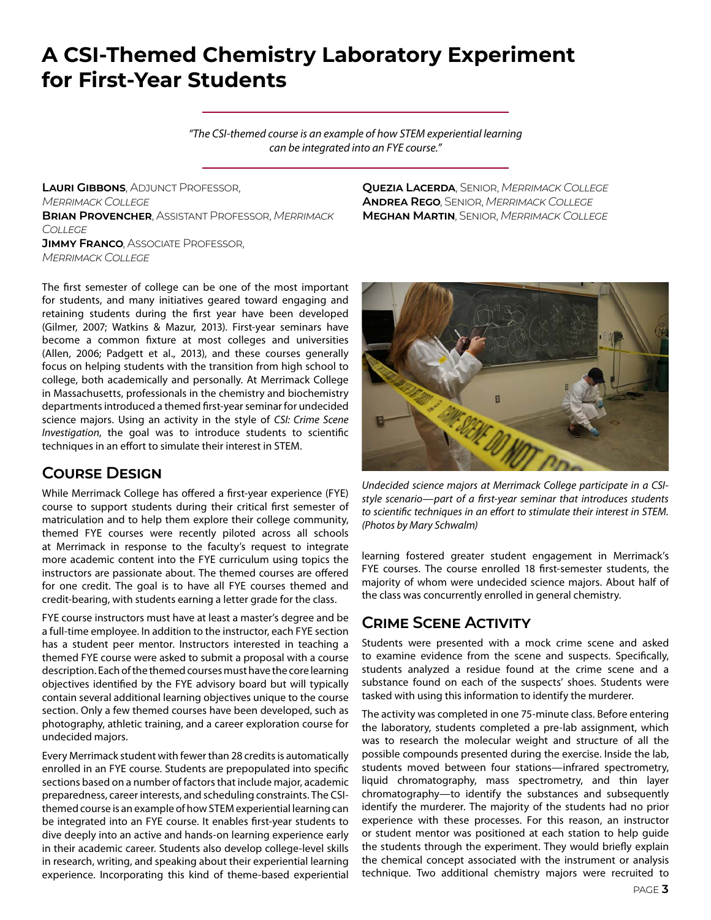## <span id="page-2-0"></span>**A CSI-Themed Chemistry Laboratory Experiment for First-Year Students**

*"The CSI-themed course is an example of how STEM experiential learning can be integrated into an FYE course."*

**Lauri Gibbons**, Adjunct Professor, *Merrimack College* **Brian Provencher**, Assistant Professor, *Merrimack College* **JIMMY FRANCO, ASSOCIATE PROFESSOR,** *Merrimack College*

The first semester of college can be one of the most important for students, and many initiatives geared toward engaging and retaining students during the first year have been developed (Gilmer, 2007; Watkins & Mazur, 2013). First-year seminars have become a common fixture at most colleges and universities (Allen, 2006; Padgett et al., 2013), and these courses generally focus on helping students with the transition from high school to college, both academically and personally. At Merrimack College in Massachusetts, professionals in the chemistry and biochemistry departments introduced a themed first-year seminar for undecided science majors. Using an activity in the style of *CSI: Crime Scene Investigation*, the goal was to introduce students to scientific techniques in an effort to simulate their interest in STEM.

## **Course Design**

While Merrimack College has offered a first-year experience (FYE) course to support students during their critical first semester of matriculation and to help them explore their college community, themed FYE courses were recently piloted across all schools at Merrimack in response to the faculty's request to integrate more academic content into the FYE curriculum using topics the instructors are passionate about. The themed courses are offered for one credit. The goal is to have all FYE courses themed and credit-bearing, with students earning a letter grade for the class.

FYE course instructors must have at least a master's degree and be a full-time employee. In addition to the instructor, each FYE section has a student peer mentor. Instructors interested in teaching a themed FYE course were asked to submit a proposal with a course description. Each of the themed courses must have the core learning objectives identified by the FYE advisory board but will typically contain several additional learning objectives unique to the course section. Only a few themed courses have been developed, such as photography, athletic training, and a career exploration course for undecided majors.

Every Merrimack student with fewer than 28 credits is automatically enrolled in an FYE course. Students are prepopulated into specific sections based on a number of factors that include major, academic preparedness, career interests, and scheduling constraints. The CSIthemed course is an example of how STEM experiential learning can be integrated into an FYE course. It enables first-year students to dive deeply into an active and hands-on learning experience early in their academic career. Students also develop college-level skills in research, writing, and speaking about their experiential learning experience. Incorporating this kind of theme-based experiential **Quezia Lacerda**, Senior, *Merrimack College* **Andrea Rego**, Senior, *Merrimack College* **Meghan Martin**, Senior, *Merrimack College*



*Undecided science majors at Merrimack College participate in a CSIstyle scenario—part of a first-year seminar that introduces students to scientific techniques in an effort to stimulate their interest in STEM. (Photos by Mary Schwalm)*

learning fostered greater student engagement in Merrimack's FYE courses. The course enrolled 18 first-semester students, the majority of whom were undecided science majors. About half of the class was concurrently enrolled in general chemistry.

## **Crime Scene Activity**

Students were presented with a mock crime scene and asked to examine evidence from the scene and suspects. Specifically, students analyzed a residue found at the crime scene and a substance found on each of the suspects' shoes. Students were tasked with using this information to identify the murderer.

The activity was completed in one 75-minute class. Before entering the laboratory, students completed a pre-lab assignment, which was to research the molecular weight and structure of all the possible compounds presented during the exercise. Inside the lab, students moved between four stations—infrared spectrometry, liquid chromatography, mass spectrometry, and thin layer chromatography—to identify the substances and subsequently identify the murderer. The majority of the students had no prior experience with these processes. For this reason, an instructor or student mentor was positioned at each station to help guide the students through the experiment. They would briefly explain the chemical concept associated with the instrument or analysis technique. Two additional chemistry majors were recruited to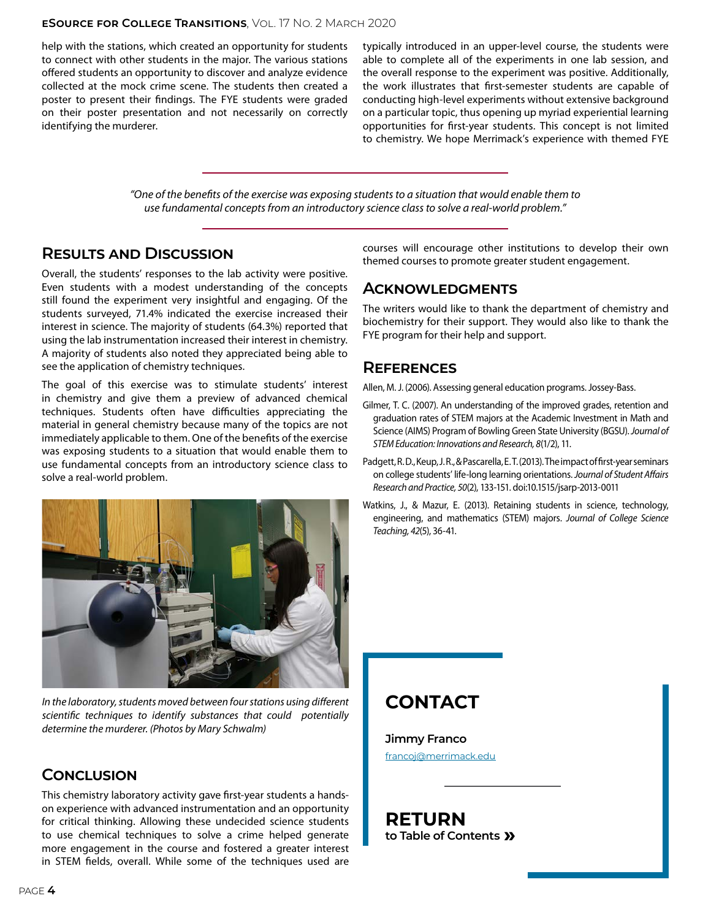#### **eSource for College Transitions**, Vol. 17 No. 2 March 2020

help with the stations, which created an opportunity for students to connect with other students in the major. The various stations offered students an opportunity to discover and analyze evidence collected at the mock crime scene. The students then created a poster to present their findings. The FYE students were graded on their poster presentation and not necessarily on correctly identifying the murderer.

typically introduced in an upper-level course, the students were able to complete all of the experiments in one lab session, and the overall response to the experiment was positive. Additionally, the work illustrates that first-semester students are capable of conducting high-level experiments without extensive background on a particular topic, thus opening up myriad experiential learning opportunities for first-year students. This concept is not limited to chemistry. We hope Merrimack's experience with themed FYE

*"One of the benefits of the exercise was exposing students to a situation that would enable them to use fundamental concepts from an introductory science class to solve a real-world problem."*

### **Results and Discussion**

Overall, the students' responses to the lab activity were positive. Even students with a modest understanding of the concepts still found the experiment very insightful and engaging. Of the students surveyed, 71.4% indicated the exercise increased their interest in science. The majority of students (64.3%) reported that using the lab instrumentation increased their interest in chemistry. A majority of students also noted they appreciated being able to see the application of chemistry techniques.

The goal of this exercise was to stimulate students' interest in chemistry and give them a preview of advanced chemical techniques. Students often have difficulties appreciating the material in general chemistry because many of the topics are not immediately applicable to them. One of the benefits of the exercise was exposing students to a situation that would enable them to use fundamental concepts from an introductory science class to solve a real-world problem.



*In the laboratory, students moved between four stations using different scientific techniques to identify substances that could potentially determine the murderer. (Photos by Mary Schwalm)*

### **Conclusion**

This chemistry laboratory activity gave first-year students a handson experience with advanced instrumentation and an opportunity for critical thinking. Allowing these undecided science students to use chemical techniques to solve a crime helped generate more engagement in the course and fostered a greater interest in STEM fields, overall. While some of the techniques used are

courses will encourage other institutions to develop their own themed courses to promote greater student engagement.

### **Acknowledgments**

The writers would like to thank the department of chemistry and biochemistry for their support. They would also like to thank the FYE program for their help and support.

### **References**

Allen, M. J. (2006). Assessing general education programs. Jossey-Bass.

- Gilmer, T. C. (2007). An understanding of the improved grades, retention and graduation rates of STEM majors at the Academic Investment in Math and Science (AIMS) Program of Bowling Green State University (BGSU). *Journal of STEM Education: Innovations and Research, 8*(1/2), 11.
- Padgett, R. D., Keup, J. R., & Pascarella, E. T. (2013). The impact of first-year seminars on college students' life-long learning orientations. *Journal of Student Affairs Research and Practice, 50*(2), 133-151. doi:10.1515/jsarp-2013-0011
- Watkins, J., & Mazur, E. (2013). Retaining students in science, technology, engineering, and mathematics (STEM) majors. *Journal of College Science Teaching, 42*(5), 36-41.

## **CONTACT**

**Jimmy Franco** [francoj@merrimack.edu](mailto:francoj@merrimack.edu)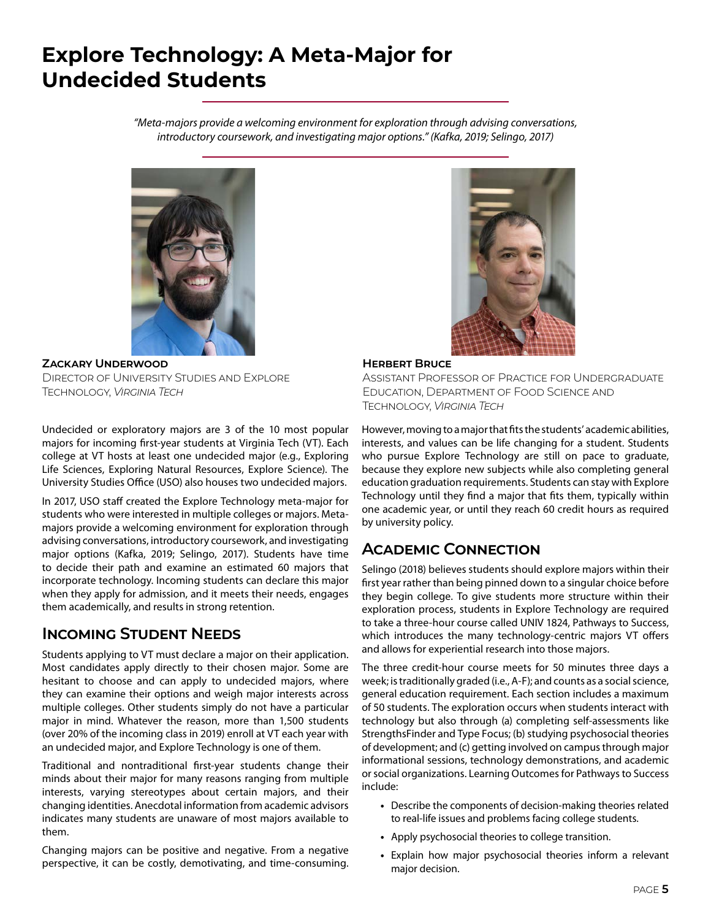## <span id="page-4-0"></span>**Explore Technology: A Meta-Major for Undecided Students**

*"Meta-majors provide a welcoming environment for exploration through advising conversations, introductory coursework, and investigating major options." (Kafka, 2019; Selingo, 2017)*



**Zackary Underwood** Director of University Studies and Explore Technology, *Virginia Tech*

Undecided or exploratory majors are 3 of the 10 most popular majors for incoming first-year students at Virginia Tech (VT). Each college at VT hosts at least one undecided major (e.g., Exploring Life Sciences, Exploring Natural Resources, Explore Science). The University Studies Office (USO) also houses two undecided majors.

In 2017, USO staff created the Explore Technology meta-major for students who were interested in multiple colleges or majors. Metamajors provide a welcoming environment for exploration through advising conversations, introductory coursework, and investigating major options (Kafka, 2019; Selingo, 2017). Students have time to decide their path and examine an estimated 60 majors that incorporate technology. Incoming students can declare this major when they apply for admission, and it meets their needs, engages them academically, and results in strong retention.

## **Incoming Student Needs**

Students applying to VT must declare a major on their application. Most candidates apply directly to their chosen major. Some are hesitant to choose and can apply to undecided majors, where they can examine their options and weigh major interests across multiple colleges. Other students simply do not have a particular major in mind. Whatever the reason, more than 1,500 students (over 20% of the incoming class in 2019) enroll at VT each year with an undecided major, and Explore Technology is one of them.

Traditional and nontraditional first-year students change their minds about their major for many reasons ranging from multiple interests, varying stereotypes about certain majors, and their changing identities. Anecdotal information from academic advisors indicates many students are unaware of most majors available to them.

Changing majors can be positive and negative. From a negative perspective, it can be costly, demotivating, and time-consuming.



#### **Herbert Bruce**

Assistant Professor of Practice for Undergraduate Education, Department of Food Science and Technology, *Virginia Tech*

However, moving to a major that fits the students' academic abilities, interests, and values can be life changing for a student. Students who pursue Explore Technology are still on pace to graduate, because they explore new subjects while also completing general education graduation requirements. Students can stay with Explore Technology until they find a major that fits them, typically within one academic year, or until they reach 60 credit hours as required by university policy.

## **Academic Connection**

Selingo (2018) believes students should explore majors within their first year rather than being pinned down to a singular choice before they begin college. To give students more structure within their exploration process, students in Explore Technology are required to take a three-hour course called UNIV 1824, Pathways to Success, which introduces the many technology-centric majors VT offers and allows for experiential research into those majors.

The three credit-hour course meets for 50 minutes three days a week; is traditionally graded (i.e., A-F); and counts as a social science, general education requirement. Each section includes a maximum of 50 students. The exploration occurs when students interact with technology but also through (a) completing self-assessments like StrengthsFinder and Type Focus; (b) studying psychosocial theories of development; and (c) getting involved on campus through major informational sessions, technology demonstrations, and academic or social organizations. Learning Outcomes for Pathways to Success include:

- **•** Describe the components of decision-making theories related to real-life issues and problems facing college students.
- **•** Apply psychosocial theories to college transition.
- **•** Explain how major psychosocial theories inform a relevant major decision.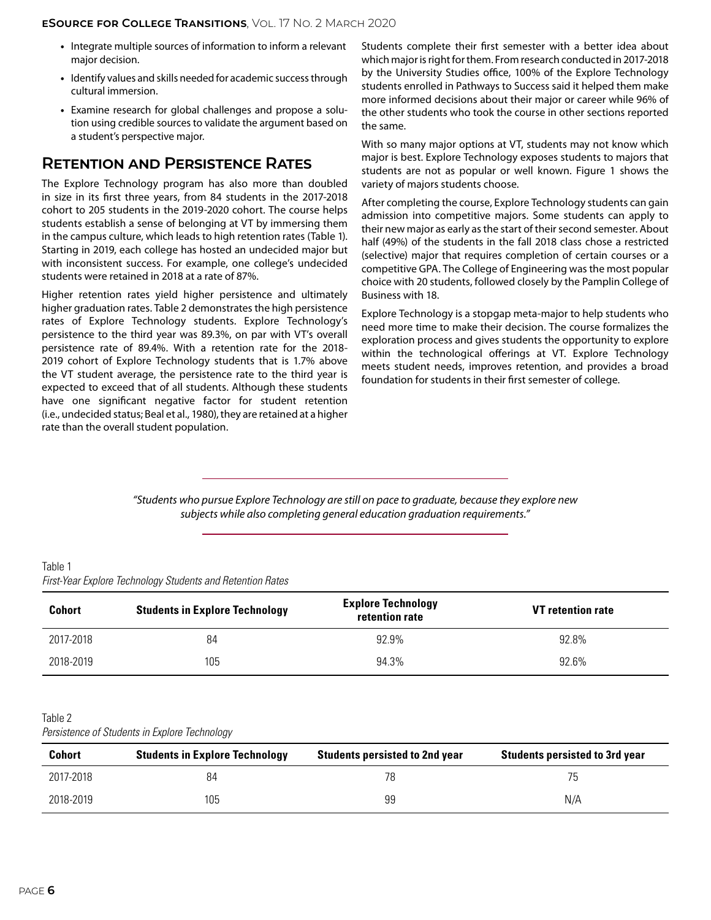- **•** Integrate multiple sources of information to inform a relevant major decision.
- **•** Identify values and skills needed for academic success through cultural immersion.
- **•** Examine research for global challenges and propose a solution using credible sources to validate the argument based on a student's perspective major.

### **Retention and Persistence Rates**

The Explore Technology program has also more than doubled in size in its first three years, from 84 students in the 2017-2018 cohort to 205 students in the 2019-2020 cohort. The course helps students establish a sense of belonging at VT by immersing them in the campus culture, which leads to high retention rates (Table 1). Starting in 2019, each college has hosted an undecided major but with inconsistent success. For example, one college's undecided students were retained in 2018 at a rate of 87%.

Higher retention rates yield higher persistence and ultimately higher graduation rates. Table 2 demonstrates the high persistence rates of Explore Technology students. Explore Technology's persistence to the third year was 89.3%, on par with VT's overall persistence rate of 89.4%. With a retention rate for the 2018- 2019 cohort of Explore Technology students that is 1.7% above the VT student average, the persistence rate to the third year is expected to exceed that of all students. Although these students have one significant negative factor for student retention (i.e., undecided status; Beal et al., 1980), they are retained at a higher rate than the overall student population.

Students complete their first semester with a better idea about which major is right for them. From research conducted in 2017-2018 by the University Studies office, 100% of the Explore Technology students enrolled in Pathways to Success said it helped them make more informed decisions about their major or career while 96% of the other students who took the course in other sections reported the same.

With so many major options at VT, students may not know which major is best. Explore Technology exposes students to majors that students are not as popular or well known. Figure 1 shows the variety of majors students choose.

After completing the course, Explore Technology students can gain admission into competitive majors. Some students can apply to their new major as early as the start of their second semester. About half (49%) of the students in the fall 2018 class chose a restricted (selective) major that requires completion of certain courses or a competitive GPA. The College of Engineering was the most popular choice with 20 students, followed closely by the Pamplin College of Business with 18.

Explore Technology is a stopgap meta-major to help students who need more time to make their decision. The course formalizes the exploration process and gives students the opportunity to explore within the technological offerings at VT. Explore Technology meets student needs, improves retention, and provides a broad foundation for students in their first semester of college.

*"Students who pursue Explore Technology are still on pace to graduate, because they explore new subjects while also completing general education graduation requirements."*

Table 1 *First-Year Explore Technology Students and Retention Rates*

| <b>Cohort</b> | <b>Students in Explore Technology</b> | <b>Explore Technology</b><br>retention rate | <b>VT</b> retention rate |
|---------------|---------------------------------------|---------------------------------------------|--------------------------|
| 2017-2018     | 84                                    | 92.9%                                       | 92.8%                    |
| 2018-2019     | 105                                   | 94.3%                                       | 92.6%                    |

#### Table 2

*Persistence of Students in Explore Technology*

| <b>Cohort</b> | <b>Students in Explore Technology</b> | <b>Students persisted to 2nd year</b> | <b>Students persisted to 3rd year</b> |
|---------------|---------------------------------------|---------------------------------------|---------------------------------------|
| 2017-2018     | 84                                    | 78                                    | 75                                    |
| 2018-2019     | 105                                   | 99                                    | N/A                                   |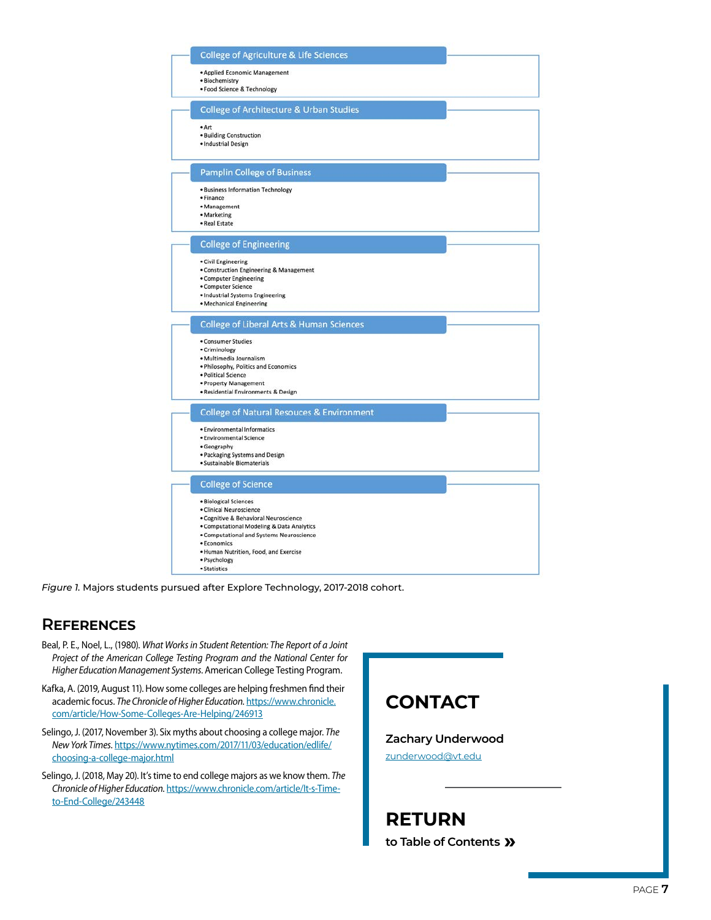|           | <b>College of Agriculture &amp; Life Sciences</b>            |
|-----------|--------------------------------------------------------------|
|           | • Applied Economic Management                                |
|           | · Biochemistry                                               |
|           | · Food Science & Technology                                  |
|           | <b>College of Architecture &amp; Urban Studies</b>           |
| • Art     |                                                              |
|           | · Building Construction                                      |
|           | · Industrial Design                                          |
|           | <b>Pamplin College of Business</b>                           |
|           | · Business Information Technology                            |
| · Finance |                                                              |
|           | · Management                                                 |
|           | · Marketing<br>· Real Estate                                 |
|           |                                                              |
|           | <b>College of Engineering</b>                                |
|           | · Civil Engineering                                          |
|           | . Construction Engineering & Management                      |
|           | • Computer Engineering                                       |
|           | • Computer Science                                           |
|           | · Industrial Systems Engineering<br>· Mechanical Engineering |
|           | <b>College of Liberal Arts &amp; Human Sciences</b>          |
|           |                                                              |
|           | • Consumer Studies                                           |
|           | · Criminology<br>· Multimedia Journalism                     |
|           | . Philosophy, Politics and Economics                         |
|           | · Political Science                                          |
|           | • Property Management                                        |
|           | · Residential Environments & Design                          |
|           | <b>College of Natural Resouces &amp; Environment</b>         |
|           | · Environmental Informatics                                  |
|           | · Environmental Science                                      |
|           | · Geography<br>· Packaging Systems and Design                |
|           | · Sustainable Biomaterials                                   |
|           |                                                              |
|           | <b>College of Science</b>                                    |
|           | · Biological Sciences<br>· Clinical Neuroscience             |
|           | · Cognitive & Behavioral Neuroscience                        |
|           |                                                              |
|           | • Computational Modeling & Data Analytics                    |
|           | . Computational and Systems Neuroscience                     |
|           | · Economics                                                  |
|           | . Human Nutrition, Food, and Exercise<br>· Psychology        |

*Figure 1.* Majors students pursued after Explore Technology, 2017-2018 cohort.

## **References**

- Beal, P. E., Noel, L., (1980). *What Works in Student Retention: The Report of a Joint Project of the American College Testing Program and the National Center for Higher Education Management Systems*. American College Testing Program.
- Kafka, A. (2019, August 11). How some colleges are helping freshmen find their academic focus. *The Chronicle of Higher Education*. [https://www.chronicle.](https://www.chronicle.com/article/How-Some-Colleges-Are-Helping/246913) [com/article/How-Some-Colleges-Are-Helping/246913](https://www.chronicle.com/article/How-Some-Colleges-Are-Helping/246913)
- Selingo, J. (2017, November 3). Six myths about choosing a college major. *The New York Times*. [https://www.nytimes.com/2017/11/03/education/edlife/](https://www.nytimes.com/2017/11/03/education/edlife/choosing-a-college-major.html) [choosing-a-college-major.html](https://www.nytimes.com/2017/11/03/education/edlife/choosing-a-college-major.html)

Selingo, J. (2018, May 20). It's time to end college majors as we know them. *The Chronicle of Higher Education*. [https://www.chronicle.com/article/It-s-Time](https://www.chronicle.com/article/It-s-Time-to-End-College/243448)[to-End-College/243448](https://www.chronicle.com/article/It-s-Time-to-End-College/243448)

## **CONTACT**

#### **Zachary Underwood**

[zunderwood@vt.edu](mailto:zunderwood@vt.edu)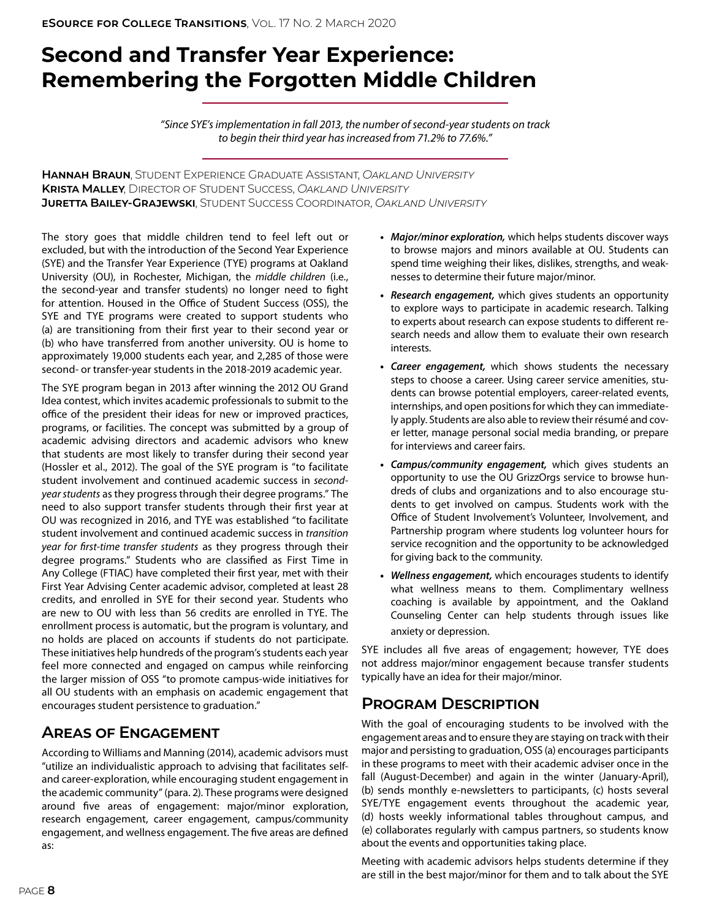## <span id="page-7-0"></span>**Second and Transfer Year Experience: Remembering the Forgotten Middle Children**

*"Since SYE's implementation in fall 2013, the number of second-year students on track to begin their third year has increased from 71.2% to 77.6%."*

**Hannah Braun**, Student Experience Graduate Assistant, *Oakland University* **Krista Malley**, Director of Student Success, *Oakland University* **Juretta Bailey-Grajewski**, Student Success Coordinator, *Oakland University*

The story goes that middle children tend to feel left out or excluded, but with the introduction of the Second Year Experience (SYE) and the Transfer Year Experience (TYE) programs at Oakland University (OU), in Rochester, Michigan, the *middle children* (i.e., the second-year and transfer students) no longer need to fight for attention. Housed in the Office of Student Success (OSS), the SYE and TYE programs were created to support students who (a) are transitioning from their first year to their second year or (b) who have transferred from another university. OU is home to approximately 19,000 students each year, and 2,285 of those were second- or transfer-year students in the 2018-2019 academic year.

The SYE program began in 2013 after winning the 2012 OU Grand Idea contest, which invites academic professionals to submit to the office of the president their ideas for new or improved practices, programs, or facilities. The concept was submitted by a group of academic advising directors and academic advisors who knew that students are most likely to transfer during their second year (Hossler et al., 2012). The goal of the SYE program is "to facilitate student involvement and continued academic success in *secondyear students* as they progress through their degree programs." The need to also support transfer students through their first year at OU was recognized in 2016, and TYE was established "to facilitate student involvement and continued academic success in *transition year for first-time transfer students* as they progress through their degree programs." Students who are classified as First Time in Any College (FTIAC) have completed their first year, met with their First Year Advising Center academic advisor, completed at least 28 credits, and enrolled in SYE for their second year. Students who are new to OU with less than 56 credits are enrolled in TYE. The enrollment process is automatic, but the program is voluntary, and no holds are placed on accounts if students do not participate. These initiatives help hundreds of the program's students each year feel more connected and engaged on campus while reinforcing the larger mission of OSS "to promote campus-wide initiatives for all OU students with an emphasis on academic engagement that encourages student persistence to graduation."

## **Areas of Engagement**

According to Williams and Manning (2014), academic advisors must "utilize an individualistic approach to advising that facilitates selfand career-exploration, while encouraging student engagement in the academic community" (para. 2). These programs were designed around five areas of engagement: major/minor exploration, research engagement, career engagement, campus/community engagement, and wellness engagement. The five areas are defined as:

- **•** *Major/minor exploration,* which helps students discover ways to browse majors and minors available at OU. Students can spend time weighing their likes, dislikes, strengths, and weaknesses to determine their future major/minor.
- **•** *Research engagement,* which gives students an opportunity to explore ways to participate in academic research. Talking to experts about research can expose students to different research needs and allow them to evaluate their own research interests.
- **•** *Career engagement,* which shows students the necessary steps to choose a career. Using career service amenities, students can browse potential employers, career-related events, internships, and open positions for which they can immediately apply. Students are also able to review their résumé and cover letter, manage personal social media branding, or prepare for interviews and career fairs.
- **•** *Campus/community engagement,* which gives students an opportunity to use the OU GrizzOrgs service to browse hundreds of clubs and organizations and to also encourage students to get involved on campus. Students work with the Office of Student Involvement's Volunteer, Involvement, and Partnership program where students log volunteer hours for service recognition and the opportunity to be acknowledged for giving back to the community.
- **•** *Wellness engagement,* which encourages students to identify what wellness means to them. Complimentary wellness coaching is available by appointment, and the Oakland Counseling Center can help students through issues like anxiety or depression.

SYE includes all five areas of engagement; however, TYE does not address major/minor engagement because transfer students typically have an idea for their major/minor.

## **Program Description**

With the goal of encouraging students to be involved with the engagement areas and to ensure they are staying on track with their major and persisting to graduation, OSS (a) encourages participants in these programs to meet with their academic adviser once in the fall (August-December) and again in the winter (January-April), (b) sends monthly e-newsletters to participants, (c) hosts several SYE/TYE engagement events throughout the academic year, (d) hosts weekly informational tables throughout campus, and (e) collaborates regularly with campus partners, so students know about the events and opportunities taking place.

Meeting with academic advisors helps students determine if they are still in the best major/minor for them and to talk about the SYE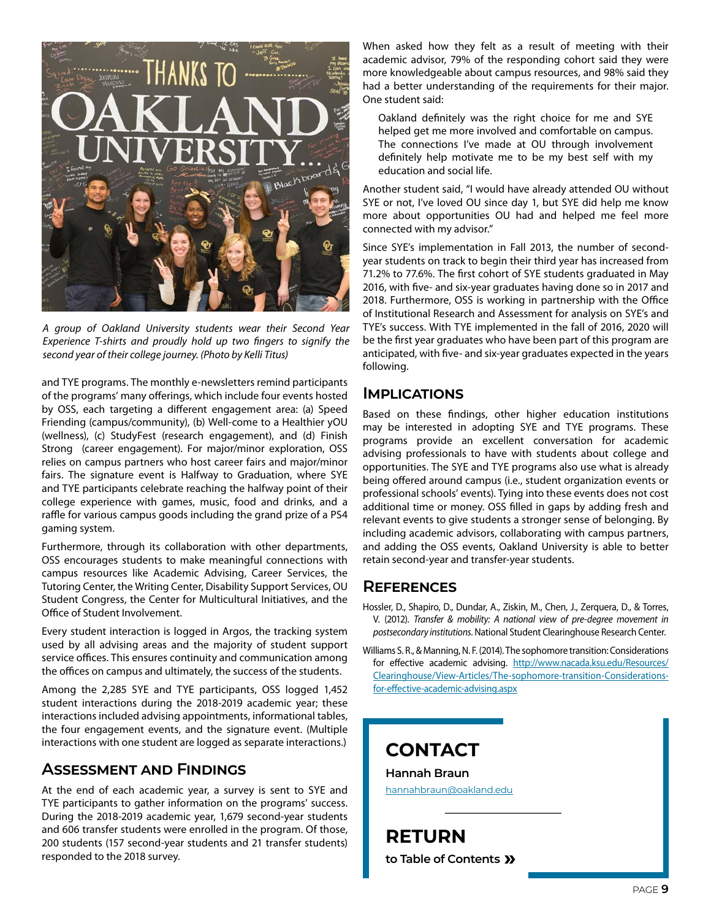

*A group of Oakland University students wear their Second Year Experience T-shirts and proudly hold up two fingers to signify the second year of their college journey. (Photo by Kelli Titus)*

and TYE programs. The monthly e-newsletters remind participants of the programs' many offerings, which include four events hosted by OSS, each targeting a different engagement area: (a) Speed Friending (campus/community), (b) Well-come to a Healthier yOU (wellness), (c) StudyFest (research engagement), and (d) Finish Strong (career engagement). For major/minor exploration, OSS relies on campus partners who host career fairs and major/minor fairs. The signature event is Halfway to Graduation, where SYE and TYE participants celebrate reaching the halfway point of their college experience with games, music, food and drinks, and a raffle for various campus goods including the grand prize of a PS4 gaming system.

Furthermore, through its collaboration with other departments, OSS encourages students to make meaningful connections with campus resources like Academic Advising, Career Services, the Tutoring Center, the Writing Center, Disability Support Services, OU Student Congress, the Center for Multicultural Initiatives, and the Office of Student Involvement.

Every student interaction is logged in Argos, the tracking system used by all advising areas and the majority of student support service offices. This ensures continuity and communication among the offices on campus and ultimately, the success of the students.

Among the 2,285 SYE and TYE participants, OSS logged 1,452 student interactions during the 2018-2019 academic year; these interactions included advising appointments, informational tables, the four engagement events, and the signature event. (Multiple interactions with one student are logged as separate interactions.)

### **Assessment and Findings**

At the end of each academic year, a survey is sent to SYE and TYE participants to gather information on the programs' success. During the 2018-2019 academic year, 1,679 second-year students and 606 transfer students were enrolled in the program. Of those, 200 students (157 second-year students and 21 transfer students) responded to the 2018 survey.

When asked how they felt as a result of meeting with their academic advisor, 79% of the responding cohort said they were more knowledgeable about campus resources, and 98% said they had a better understanding of the requirements for their major. One student said:

Oakland definitely was the right choice for me and SYE helped get me more involved and comfortable on campus. The connections I've made at OU through involvement definitely help motivate me to be my best self with my education and social life.

Another student said, "I would have already attended OU without SYE or not, I've loved OU since day 1, but SYE did help me know more about opportunities OU had and helped me feel more connected with my advisor."

Since SYE's implementation in Fall 2013, the number of secondyear students on track to begin their third year has increased from 71.2% to 77.6%. The first cohort of SYE students graduated in May 2016, with five- and six-year graduates having done so in 2017 and 2018. Furthermore, OSS is working in partnership with the Office of Institutional Research and Assessment for analysis on SYE's and TYE's success. With TYE implemented in the fall of 2016, 2020 will be the first year graduates who have been part of this program are anticipated, with five- and six-year graduates expected in the years following.

### **Implications**

Based on these findings, other higher education institutions may be interested in adopting SYE and TYE programs. These programs provide an excellent conversation for academic advising professionals to have with students about college and opportunities. The SYE and TYE programs also use what is already being offered around campus (i.e., student organization events or professional schools' events). Tying into these events does not cost additional time or money. OSS filled in gaps by adding fresh and relevant events to give students a stronger sense of belonging. By including academic advisors, collaborating with campus partners, and adding the OSS events, Oakland University is able to better retain second-year and transfer-year students.

### **References**

Hossler, D., Shapiro, D., Dundar, A., Ziskin, M., Chen, J., Zerquera, D., & Torres, V. (2012). *Transfer & mobility: A national view of pre-degree movement in postsecondary institutions*. National Student Clearinghouse Research Center.

Williams S. R., & Manning, N. F. (2014). The sophomore transition: Considerations for effective academic advising. [http://www.nacada.ksu.edu/Resources/](http://www.nacada.ksu.edu/Resources/Clearinghouse/View-Articles/The-sophomore-transition-Considerations-for-effective-academic-advising.aspx) [Clearinghouse/View-Articles/The-sophomore-transition-Considerations](http://www.nacada.ksu.edu/Resources/Clearinghouse/View-Articles/The-sophomore-transition-Considerations-for-effective-academic-advising.aspx)[for-effective-academic-advising.aspx](http://www.nacada.ksu.edu/Resources/Clearinghouse/View-Articles/The-sophomore-transition-Considerations-for-effective-academic-advising.aspx)

**CONTACT**

**Hannah Braun** [hannahbraun@oakland.edu](mailto:hannahbraun%40oakland.edu?subject=)